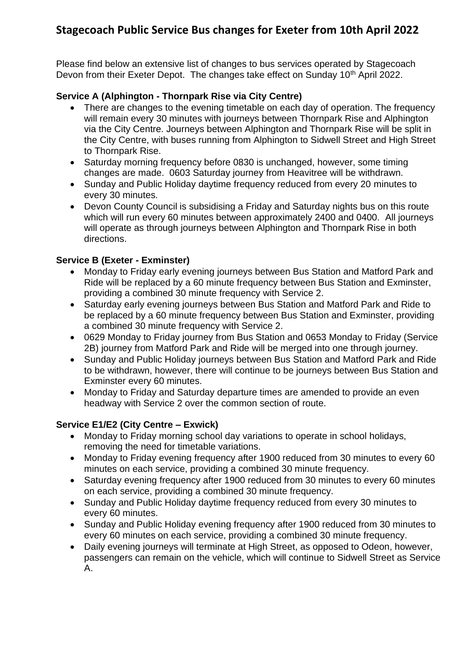# **Stagecoach Public Service Bus changes for Exeter from 10th April 2022**

Please find below an extensive list of changes to bus services operated by Stagecoach Devon from their Exeter Depot. The changes take effect on Sunday 10<sup>th</sup> April 2022.

#### **Service A (Alphington - Thornpark Rise via City Centre)**

- There are changes to the evening timetable on each day of operation. The frequency will remain every 30 minutes with journeys between Thornpark Rise and Alphington via the City Centre. Journeys between Alphington and Thornpark Rise will be split in the City Centre, with buses running from Alphington to Sidwell Street and High Street to Thornpark Rise.
- Saturday morning frequency before 0830 is unchanged, however, some timing changes are made. 0603 Saturday journey from Heavitree will be withdrawn.
- Sunday and Public Holiday daytime frequency reduced from every 20 minutes to every 30 minutes.
- Devon County Council is subsidising a Friday and Saturday nights bus on this route which will run every 60 minutes between approximately 2400 and 0400. All journeys will operate as through journeys between Alphington and Thornpark Rise in both directions.

#### **Service B (Exeter - Exminster)**

- Monday to Friday early evening journeys between Bus Station and Matford Park and Ride will be replaced by a 60 minute frequency between Bus Station and Exminster, providing a combined 30 minute frequency with Service 2.
- Saturday early evening journeys between Bus Station and Matford Park and Ride to be replaced by a 60 minute frequency between Bus Station and Exminster, providing a combined 30 minute frequency with Service 2.
- 0629 Monday to Friday journey from Bus Station and 0653 Monday to Friday (Service 2B) journey from Matford Park and Ride will be merged into one through journey.
- Sunday and Public Holiday journeys between Bus Station and Matford Park and Ride to be withdrawn, however, there will continue to be journeys between Bus Station and Exminster every 60 minutes.
- Monday to Friday and Saturday departure times are amended to provide an even headway with Service 2 over the common section of route.

#### **Service E1/E2 (City Centre – Exwick)**

- Monday to Friday morning school day variations to operate in school holidays, removing the need for timetable variations.
- Monday to Friday evening frequency after 1900 reduced from 30 minutes to every 60 minutes on each service, providing a combined 30 minute frequency.
- Saturday evening frequency after 1900 reduced from 30 minutes to every 60 minutes on each service, providing a combined 30 minute frequency.
- Sunday and Public Holiday daytime frequency reduced from every 30 minutes to every 60 minutes.
- Sunday and Public Holiday evening frequency after 1900 reduced from 30 minutes to every 60 minutes on each service, providing a combined 30 minute frequency.
- Daily evening journeys will terminate at High Street, as opposed to Odeon, however, passengers can remain on the vehicle, which will continue to Sidwell Street as Service A.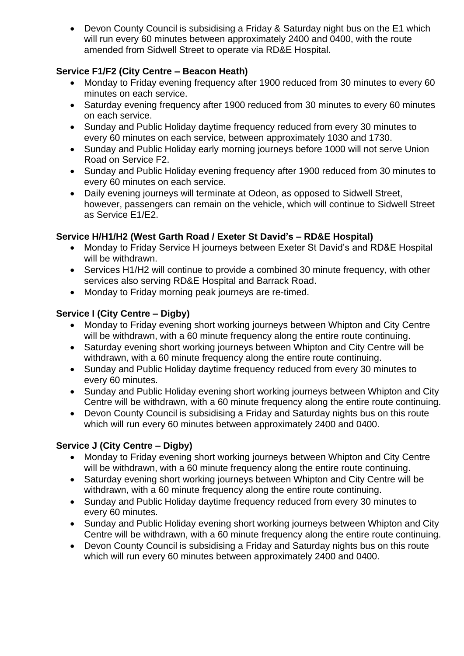• Devon County Council is subsidising a Friday & Saturday night bus on the E1 which will run every 60 minutes between approximately 2400 and 0400, with the route amended from Sidwell Street to operate via RD&E Hospital.

# **Service F1/F2 (City Centre – Beacon Heath)**

- Monday to Friday evening frequency after 1900 reduced from 30 minutes to every 60 minutes on each service.
- Saturday evening frequency after 1900 reduced from 30 minutes to every 60 minutes on each service.
- Sunday and Public Holiday daytime frequency reduced from every 30 minutes to every 60 minutes on each service, between approximately 1030 and 1730.
- Sunday and Public Holiday early morning journeys before 1000 will not serve Union Road on Service F2.
- Sunday and Public Holiday evening frequency after 1900 reduced from 30 minutes to every 60 minutes on each service.
- Daily evening journeys will terminate at Odeon, as opposed to Sidwell Street, however, passengers can remain on the vehicle, which will continue to Sidwell Street as Service E1/E2.

## **Service H/H1/H2 (West Garth Road / Exeter St David's – RD&E Hospital)**

- Monday to Friday Service H journeys between Exeter St David's and RD&E Hospital will be withdrawn.
- Services H1/H2 will continue to provide a combined 30 minute frequency, with other services also serving RD&E Hospital and Barrack Road.
- Monday to Friday morning peak journeys are re-timed.

# **Service I (City Centre – Digby)**

- Monday to Friday evening short working journeys between Whipton and City Centre will be withdrawn, with a 60 minute frequency along the entire route continuing.
- Saturday evening short working journeys between Whipton and City Centre will be withdrawn, with a 60 minute frequency along the entire route continuing.
- Sunday and Public Holiday daytime frequency reduced from every 30 minutes to every 60 minutes.
- Sunday and Public Holiday evening short working journeys between Whipton and City Centre will be withdrawn, with a 60 minute frequency along the entire route continuing.
- Devon County Council is subsidising a Friday and Saturday nights bus on this route which will run every 60 minutes between approximately 2400 and 0400.

# **Service J (City Centre – Digby)**

- Monday to Friday evening short working journeys between Whipton and City Centre will be withdrawn, with a 60 minute frequency along the entire route continuing.
- Saturday evening short working journeys between Whipton and City Centre will be withdrawn, with a 60 minute frequency along the entire route continuing.
- Sunday and Public Holiday daytime frequency reduced from every 30 minutes to every 60 minutes.
- Sunday and Public Holiday evening short working journeys between Whipton and City Centre will be withdrawn, with a 60 minute frequency along the entire route continuing.
- Devon County Council is subsidising a Friday and Saturday nights bus on this route which will run every 60 minutes between approximately 2400 and 0400.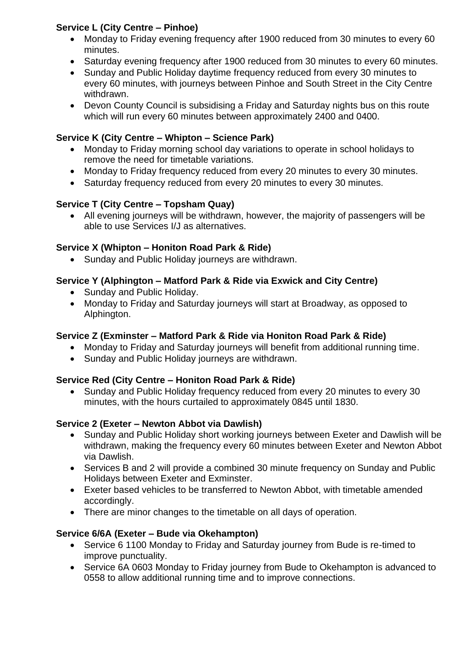# **Service L (City Centre – Pinhoe)**

- Monday to Friday evening frequency after 1900 reduced from 30 minutes to every 60 minutes.
- Saturday evening frequency after 1900 reduced from 30 minutes to every 60 minutes.
- Sunday and Public Holiday daytime frequency reduced from every 30 minutes to every 60 minutes, with journeys between Pinhoe and South Street in the City Centre withdrawn.
- Devon County Council is subsidising a Friday and Saturday nights bus on this route which will run every 60 minutes between approximately 2400 and 0400.

# **Service K (City Centre – Whipton – Science Park)**

- Monday to Friday morning school day variations to operate in school holidays to remove the need for timetable variations.
- Monday to Friday frequency reduced from every 20 minutes to every 30 minutes.
- Saturday frequency reduced from every 20 minutes to every 30 minutes.

## **Service T (City Centre – Topsham Quay)**

• All evening journeys will be withdrawn, however, the majority of passengers will be able to use Services I/J as alternatives.

#### **Service X (Whipton – Honiton Road Park & Ride)**

• Sunday and Public Holiday journeys are withdrawn.

## **Service Y (Alphington – Matford Park & Ride via Exwick and City Centre)**

- Sunday and Public Holiday.
- Monday to Friday and Saturday journeys will start at Broadway, as opposed to Alphington.

#### **Service Z (Exminster – Matford Park & Ride via Honiton Road Park & Ride)**

- Monday to Friday and Saturday journeys will benefit from additional running time.
- Sunday and Public Holiday journeys are withdrawn.

#### **Service Red (City Centre – Honiton Road Park & Ride)**

• Sunday and Public Holiday frequency reduced from every 20 minutes to every 30 minutes, with the hours curtailed to approximately 0845 until 1830.

#### **Service 2 (Exeter – Newton Abbot via Dawlish)**

- Sunday and Public Holiday short working journeys between Exeter and Dawlish will be withdrawn, making the frequency every 60 minutes between Exeter and Newton Abbot via Dawlish.
- Services B and 2 will provide a combined 30 minute frequency on Sunday and Public Holidays between Exeter and Exminster.
- Exeter based vehicles to be transferred to Newton Abbot, with timetable amended accordingly.
- There are minor changes to the timetable on all days of operation.

#### **Service 6/6A (Exeter – Bude via Okehampton)**

- Service 6 1100 Monday to Friday and Saturday journey from Bude is re-timed to improve punctuality.
- Service 6A 0603 Monday to Friday journey from Bude to Okehampton is advanced to 0558 to allow additional running time and to improve connections.